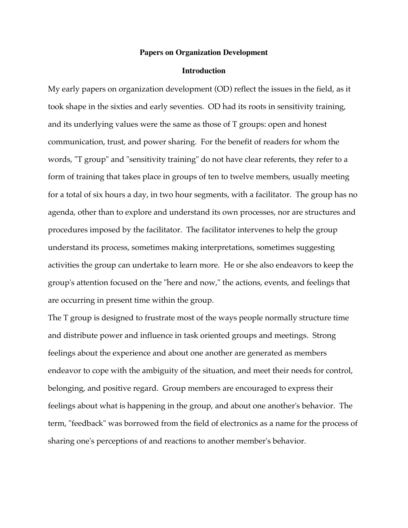## **Papers on Organization Development**

## **Introduction**

My early papers on organization development (OD) reflect the issues in the field, as it took shape in the sixties and early seventies. OD had its roots in sensitivity training, and its underlying values were the same as those of T groups: open and honest communication, trust, and power sharing. For the benefit of readers for whom the words, "T group" and "sensitivity training" do not have clear referents, they refer to a form of training that takes place in groups of ten to twelve members, usually meeting for a total of six hours a day, in two hour segments, with a facilitator. The group has no agenda, other than to explore and understand its own processes, nor are structures and procedures imposed by the facilitator. The facilitator intervenes to help the group understand its process, sometimes making interpretations, sometimes suggesting activities the group can undertake to learn more. He or she also endeavors to keep the group's attention focused on the "here and now," the actions, events, and feelings that are occurring in present time within the group.

The T group is designed to frustrate most of the ways people normally structure time and distribute power and influence in task oriented groups and meetings. Strong feelings about the experience and about one another are generated as members endeavor to cope with the ambiguity of the situation, and meet their needs for control, belonging, and positive regard. Group members are encouraged to express their feelings about what is happening in the group, and about one another's behavior. The term, "feedback" was borrowed from the field of electronics as a name for the process of sharing one's perceptions of and reactions to another member's behavior.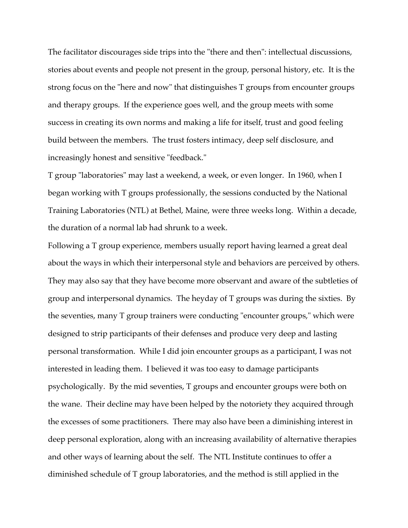The facilitator discourages side trips into the "there and then": intellectual discussions, stories about events and people not present in the group, personal history, etc. It is the strong focus on the "here and now" that distinguishes T groups from encounter groups and therapy groups. If the experience goes well, and the group meets with some success in creating its own norms and making a life for itself, trust and good feeling build between the members. The trust fosters intimacy, deep self disclosure, and increasingly honest and sensitive "feedback."

T group "laboratories" may last a weekend, a week, or even longer. In 1960, when I began working with T groups professionally, the sessions conducted by the National Training Laboratories (NTL) at Bethel, Maine, were three weeks long. Within a decade, the duration of a normal lab had shrunk to a week.

Following a T group experience, members usually report having learned a great deal about the ways in which their interpersonal style and behaviors are perceived by others. They may also say that they have become more observant and aware of the subtleties of group and interpersonal dynamics. The heyday of T groups was during the sixties. By the seventies, many T group trainers were conducting "encounter groups," which were designed to strip participants of their defenses and produce very deep and lasting personal transformation. While I did join encounter groups as a participant, I was not interested in leading them. I believed it was too easy to damage participants psychologically. By the mid seventies, T groups and encounter groups were both on the wane. Their decline may have been helped by the notoriety they acquired through the excesses of some practitioners. There may also have been a diminishing interest in deep personal exploration, along with an increasing availability of alternative therapies and other ways of learning about the self. The NTL Institute continues to offer a diminished schedule of T group laboratories, and the method is still applied in the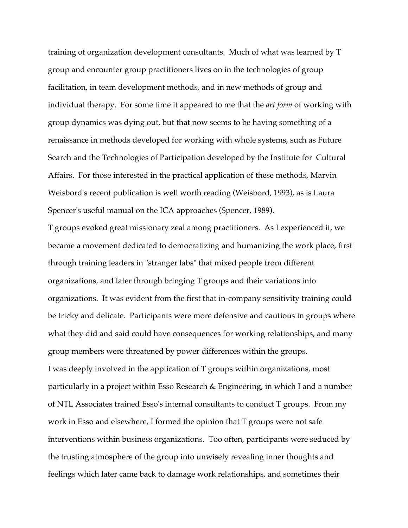training of organization development consultants. Much of what was learned by T group and encounter group practitioners lives on in the technologies of group facilitation, in team development methods, and in new methods of group and individual therapy. For some time it appeared to me that the *art form* of working with group dynamics was dying out, but that now seems to be having something of a renaissance in methods developed for working with whole systems, such as Future Search and the Technologies of Participation developed by the Institute for Cultural Affairs. For those interested in the practical application of these methods, Marvin Weisbord's recent publication is well worth reading (Weisbord, 1993), as is Laura Spencer's useful manual on the ICA approaches (Spencer, 1989).

T groups evoked great missionary zeal among practitioners. As I experienced it, we became a movement dedicated to democratizing and humanizing the work place, first through training leaders in "stranger labs" that mixed people from different organizations, and later through bringing T groups and their variations into organizations. It was evident from the first that in-company sensitivity training could be tricky and delicate. Participants were more defensive and cautious in groups where what they did and said could have consequences for working relationships, and many group members were threatened by power differences within the groups. I was deeply involved in the application of T groups within organizations, most particularly in a project within Esso Research & Engineering, in which I and a number of NTL Associates trained Esso's internal consultants to conduct T groups. From my work in Esso and elsewhere, I formed the opinion that T groups were not safe interventions within business organizations. Too often, participants were seduced by the trusting atmosphere of the group into unwisely revealing inner thoughts and feelings which later came back to damage work relationships, and sometimes their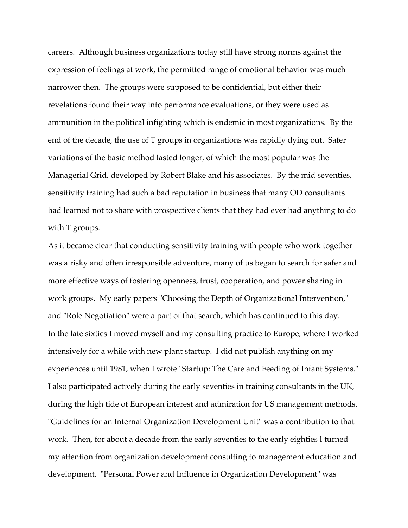careers. Although business organizations today still have strong norms against the expression of feelings at work, the permitted range of emotional behavior was much narrower then. The groups were supposed to be confidential, but either their revelations found their way into performance evaluations, or they were used as ammunition in the political infighting which is endemic in most organizations. By the end of the decade, the use of T groups in organizations was rapidly dying out. Safer variations of the basic method lasted longer, of which the most popular was the Managerial Grid, developed by Robert Blake and his associates. By the mid seventies, sensitivity training had such a bad reputation in business that many OD consultants had learned not to share with prospective clients that they had ever had anything to do with T groups.

As it became clear that conducting sensitivity training with people who work together was a risky and often irresponsible adventure, many of us began to search for safer and more effective ways of fostering openness, trust, cooperation, and power sharing in work groups. My early papers "Choosing the Depth of Organizational Intervention," and "Role Negotiation" were a part of that search, which has continued to this day. In the late sixties I moved myself and my consulting practice to Europe, where I worked intensively for a while with new plant startup. I did not publish anything on my experiences until 1981, when I wrote "Startup: The Care and Feeding of Infant Systems." I also participated actively during the early seventies in training consultants in the UK, during the high tide of European interest and admiration for US management methods. "Guidelines for an Internal Organization Development Unit" was a contribution to that work. Then, for about a decade from the early seventies to the early eighties I turned my attention from organization development consulting to management education and development. "Personal Power and Influence in Organization Development" was